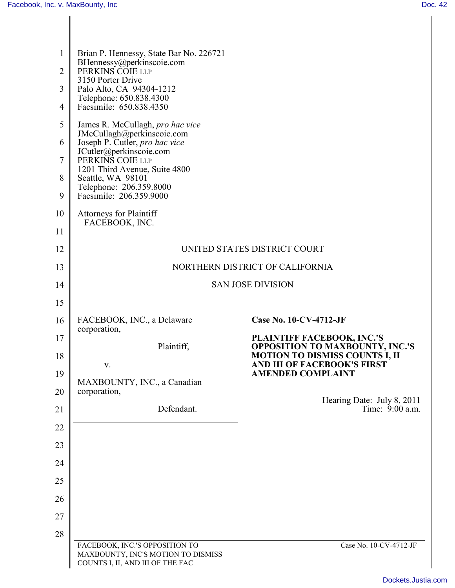| $\mathbf{1}$   | Brian P. Hennessy, State Bar No. 226721<br>BHennessy@perkinscoie.com                                     |                                                                                 |
|----------------|----------------------------------------------------------------------------------------------------------|---------------------------------------------------------------------------------|
| $\overline{2}$ | PERKINS COIE LLP<br>3150 Porter Drive                                                                    |                                                                                 |
| 3              | Palo Alto, CA 94304-1212<br>Telephone: 650.838.4300                                                      |                                                                                 |
| 4              | Facsimile: 650.838.4350                                                                                  |                                                                                 |
| 5              | James R. McCullagh, pro hac vice<br>JMcCullagh@perkinscoie.com                                           |                                                                                 |
| 6              | Joseph P. Cutler, pro hac vice<br>JCutler@perkinscoie.com                                                |                                                                                 |
| 7              | PERKINS COIE LLP<br>1201 Third Avenue, Suite 4800                                                        |                                                                                 |
| 8              | Seattle, WA 98101<br>Telephone: 206.359.8000                                                             |                                                                                 |
| 9              | Facsimile: 206.359.9000                                                                                  |                                                                                 |
| 10             | <b>Attorneys for Plaintiff</b><br>FACEBOOK, INC.                                                         |                                                                                 |
| 11             |                                                                                                          |                                                                                 |
| 12             |                                                                                                          | UNITED STATES DISTRICT COURT                                                    |
| 13             |                                                                                                          | NORTHERN DISTRICT OF CALIFORNIA                                                 |
| 14             |                                                                                                          | <b>SAN JOSE DIVISION</b>                                                        |
| 15             |                                                                                                          |                                                                                 |
| 16             | FACEBOOK, INC., a Delaware                                                                               | <b>Case No. 10-CV-4712-JF</b>                                                   |
| 17             | corporation,                                                                                             | PLAINTIFF FACEBOOK, INC.'S                                                      |
| 18             | Plaintiff,                                                                                               | <b>OPPOSITION TO MAXBOUNTY, INC.'S</b><br><b>MOTION TO DISMISS COUNTS I, II</b> |
| 19             | V.                                                                                                       | AND III OF FACEBOOK'S FIRST<br><b>AMENDED COMPLAINT</b>                         |
| 20             | MAXBOUNTY, INC., a Canadian<br>corporation,                                                              |                                                                                 |
| 21             | Defendant.                                                                                               | Hearing Date: July 8, 2011<br>Time: 9:00 a.m.                                   |
| 22             |                                                                                                          |                                                                                 |
| 23             |                                                                                                          |                                                                                 |
| 24             |                                                                                                          |                                                                                 |
| 25             |                                                                                                          |                                                                                 |
| 26             |                                                                                                          |                                                                                 |
| 27             |                                                                                                          |                                                                                 |
| 28             |                                                                                                          |                                                                                 |
|                | FACEBOOK, INC.'S OPPOSITION TO<br>MAXBOUNTY, INC'S MOTION TO DISMISS<br>COUNTS I, II, AND III OF THE FAC | Case No. 10-CV-4712-JF                                                          |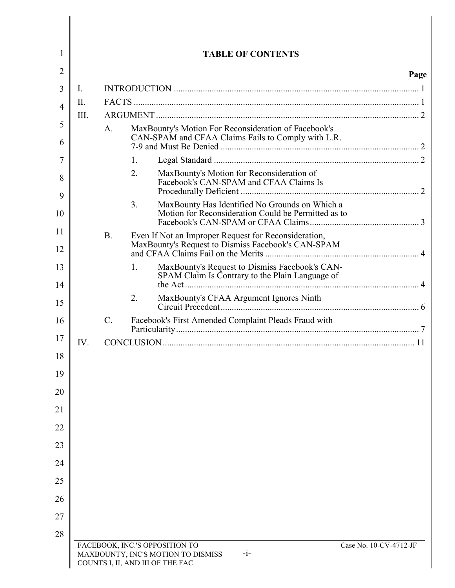| $\mathbf{I}$ . |                 |                                                                                                            | Page                   |
|----------------|-----------------|------------------------------------------------------------------------------------------------------------|------------------------|
| $\prod$ .      |                 |                                                                                                            |                        |
| III.           |                 |                                                                                                            |                        |
|                | $A_{\cdot}$     | MaxBounty's Motion For Reconsideration of Facebook's                                                       |                        |
|                | 1.              |                                                                                                            |                        |
|                | 2.              | MaxBounty's Motion for Reconsideration of<br>Facebook's CAN-SPAM and CFAA Claims Is                        |                        |
|                | 3.              | MaxBounty Has Identified No Grounds on Which a<br>Motion for Reconsideration Could be Permitted as to      |                        |
|                | B.              | Even If Not an Improper Request for Reconsideration,<br>MaxBounty's Request to Dismiss Facebook's CAN-SPAM |                        |
|                | 1.              | MaxBounty's Request to Dismiss Facebook's CAN-<br>SPAM Claim Is Contrary to the Plain Language of          |                        |
|                | 2.              |                                                                                                            |                        |
|                | $\mathcal{C}$ . | Facebook's First Amended Complaint Pleads Fraud with                                                       |                        |
| IV.            |                 |                                                                                                            |                        |
|                |                 |                                                                                                            |                        |
|                |                 |                                                                                                            |                        |
|                |                 |                                                                                                            |                        |
|                |                 |                                                                                                            |                        |
|                |                 |                                                                                                            |                        |
|                |                 |                                                                                                            |                        |
|                |                 |                                                                                                            |                        |
|                |                 |                                                                                                            |                        |
|                |                 | FACEBOOK, INC.'S OPPOSITION TO                                                                             | Case No. 10-CV-4712-JF |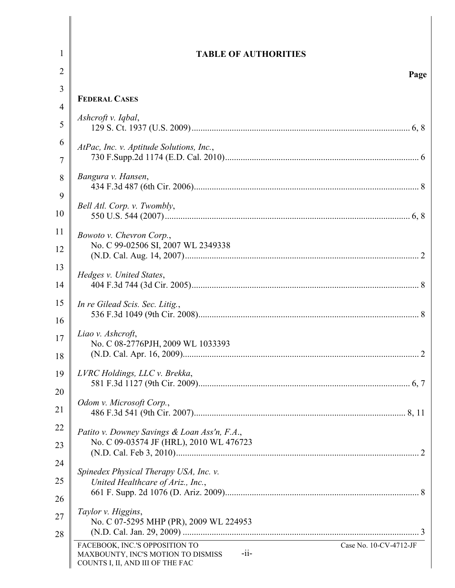| 1              | <b>TABLE OF AUTHORITIES</b>                                                                                                                   |
|----------------|-----------------------------------------------------------------------------------------------------------------------------------------------|
| $\overline{2}$ | Page                                                                                                                                          |
| 3              |                                                                                                                                               |
| 4              | <b>FEDERAL CASES</b>                                                                                                                          |
| 5              | Ashcroft v. Iqbal,                                                                                                                            |
| 6              | AtPac, Inc. v. Aptitude Solutions, Inc.,                                                                                                      |
| 7              |                                                                                                                                               |
| 8              | Bangura v. Hansen,                                                                                                                            |
| 9              | Bell Atl. Corp. v. Twombly,                                                                                                                   |
| 10             |                                                                                                                                               |
| 11             | Bowoto v. Chevron Corp.,                                                                                                                      |
| 12             | No. C 99-02506 SI, 2007 WL 2349338                                                                                                            |
| 13             | Hedges v. United States,                                                                                                                      |
| 14             |                                                                                                                                               |
| 15             | In re Gilead Scis. Sec. Litig.,                                                                                                               |
| 16             |                                                                                                                                               |
| 17             | Liao v. Ashcroft,                                                                                                                             |
| 18             | No. C 08-2776PJH, 2009 WL 1033393                                                                                                             |
| 19             | LVRC Holdings, LLC v. Brekka,                                                                                                                 |
| 20             |                                                                                                                                               |
| 21             | Odom v. Microsoft Corp.,                                                                                                                      |
|                |                                                                                                                                               |
| 22             | Patito v. Downey Savings & Loan Ass'n, F.A.,<br>No. C 09-03574 JF (HRL), 2010 WL 476723                                                       |
| 23             |                                                                                                                                               |
| 24             | Spinedex Physical Therapy USA, Inc. v.                                                                                                        |
| 25             | United Healthcare of Ariz., Inc.,                                                                                                             |
| 26             |                                                                                                                                               |
| 27             | Taylor v. Higgins,                                                                                                                            |
| 28             | No. C 07-5295 MHP (PR), 2009 WL 224953                                                                                                        |
|                | FACEBOOK, INC.'S OPPOSITION TO<br>Case No. 10-CV-4712-JF<br>$-i$ i-<br>MAXBOUNTY, INC'S MOTION TO DISMISS<br>COUNTS I, II, AND III OF THE FAC |

I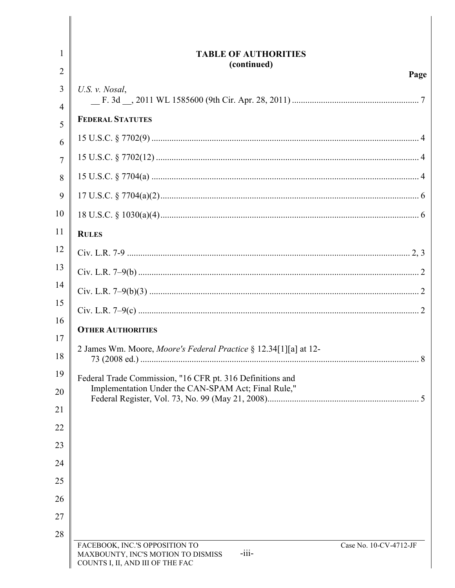| $\mathbf{I}$        | <b>TABLE OF AUTHORITIES</b><br>(continued)                                                                                                    |
|---------------------|-----------------------------------------------------------------------------------------------------------------------------------------------|
| 2                   | Page                                                                                                                                          |
| 3<br>$\overline{4}$ | U.S. v. Nosal,                                                                                                                                |
| 5                   | <b>FEDERAL STATUTES</b>                                                                                                                       |
| 6                   |                                                                                                                                               |
| 7                   |                                                                                                                                               |
| 8                   |                                                                                                                                               |
| 9                   |                                                                                                                                               |
| 10                  |                                                                                                                                               |
| 11                  | <b>RULES</b>                                                                                                                                  |
| 12                  |                                                                                                                                               |
| 13                  |                                                                                                                                               |
| 14                  |                                                                                                                                               |
| 15                  |                                                                                                                                               |
| 16                  | <b>OTHER AUTHORITIES</b>                                                                                                                      |
| 17<br>18            | 2 James Wm. Moore, Moore's Federal Practice § 12.34[1][a] at 12-                                                                              |
| 19                  | Federal Trade Commission, "16 CFR pt. 316 Definitions and                                                                                     |
| 20                  | Implementation Under the CAN-SPAM Act; Final Rule,"                                                                                           |
| 21                  |                                                                                                                                               |
| 22                  |                                                                                                                                               |
| 23                  |                                                                                                                                               |
| 24                  |                                                                                                                                               |
| 25                  |                                                                                                                                               |
| 26                  |                                                                                                                                               |
| 27                  |                                                                                                                                               |
| 28                  | FACEBOOK, INC.'S OPPOSITION TO<br>Case No. 10-CV-4712-JF<br>MAXBOUNTY, INC'S MOTION TO DISMISS<br>$-iii-$<br>COUNTS I, II, AND III OF THE FAC |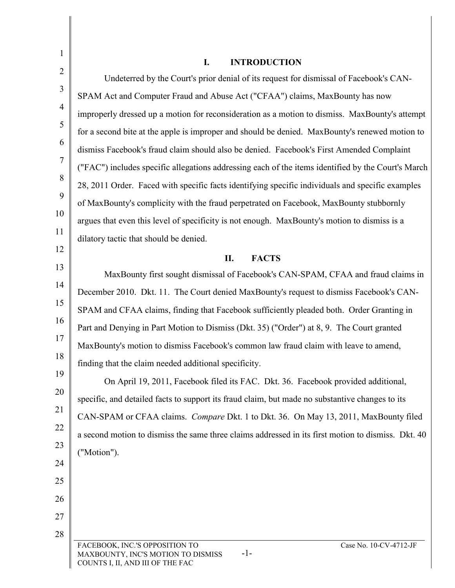| 1              | <b>INTRODUCTION</b><br>I.                                                                                                                   |
|----------------|---------------------------------------------------------------------------------------------------------------------------------------------|
| $\overline{2}$ | Undeterred by the Court's prior denial of its request for dismissal of Facebook's CAN-                                                      |
| 3              | SPAM Act and Computer Fraud and Abuse Act ("CFAA") claims, MaxBounty has now                                                                |
| $\overline{4}$ | improperly dressed up a motion for reconsideration as a motion to dismiss. MaxBounty's attempt                                              |
| 5              | for a second bite at the apple is improper and should be denied. MaxBounty's renewed motion to                                              |
| 6              | dismiss Facebook's fraud claim should also be denied. Facebook's First Amended Complaint                                                    |
| 7              | ("FAC") includes specific allegations addressing each of the items identified by the Court's March                                          |
| 8              | 28, 2011 Order. Faced with specific facts identifying specific individuals and specific examples                                            |
| 9              | of MaxBounty's complicity with the fraud perpetrated on Facebook, MaxBounty stubbornly                                                      |
| 10             | argues that even this level of specificity is not enough. MaxBounty's motion to dismiss is a                                                |
| 11             | dilatory tactic that should be denied.                                                                                                      |
| 12             | <b>FACTS</b><br>П.                                                                                                                          |
| 13             | MaxBounty first sought dismissal of Facebook's CAN-SPAM, CFAA and fraud claims in                                                           |
| 14             | December 2010. Dkt. 11. The Court denied MaxBounty's request to dismiss Facebook's CAN-                                                     |
| 15             | SPAM and CFAA claims, finding that Facebook sufficiently pleaded both. Order Granting in                                                    |
| 16             | Part and Denying in Part Motion to Dismiss (Dkt. 35) ("Order") at 8, 9. The Court granted                                                   |
| 17             | MaxBounty's motion to dismiss Facebook's common law fraud claim with leave to amend,                                                        |
| 18             | finding that the claim needed additional specificity.                                                                                       |
| 19             | On April 19, 2011, Facebook filed its FAC. Dkt. 36. Facebook provided additional,                                                           |
| 20             | specific, and detailed facts to support its fraud claim, but made no substantive changes to its                                             |
| 21             | CAN-SPAM or CFAA claims. <i>Compare Dkt.</i> 1 to Dkt. 36. On May 13, 2011, MaxBounty filed                                                 |
| 22             | a second motion to dismiss the same three claims addressed in its first motion to dismiss. Dkt. 40                                          |
| 23             | ("Motion").                                                                                                                                 |
| 24             |                                                                                                                                             |
| 25             |                                                                                                                                             |
| 26             |                                                                                                                                             |
| 27             |                                                                                                                                             |
| 28             | FACEBOOK, INC.'S OPPOSITION TO<br>Case No. 10-CV-4712-JF<br>$-1-$<br>MAXBOUNTY, INC'S MOTION TO DISMISS<br>COUNTS I, II, AND III OF THE FAC |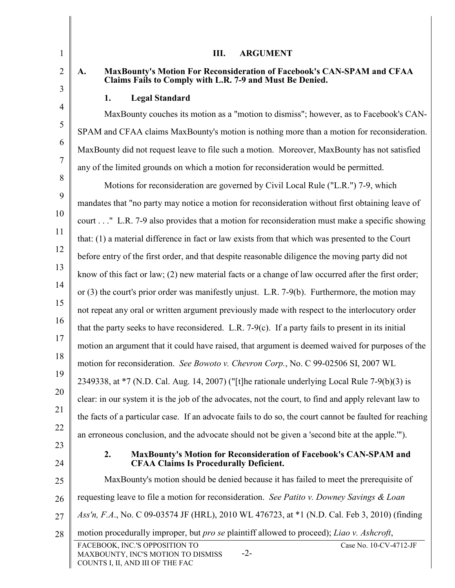| $\mathbf{1}$   | Ш.<br><b>ARGUMENT</b>                                                                                                                       |
|----------------|---------------------------------------------------------------------------------------------------------------------------------------------|
| $\overline{2}$ | MaxBounty's Motion For Reconsideration of Facebook's CAN-SPAM and CFAA<br>A.<br>Claims Fails to Comply with L.R. 7-9 and Must Be Denied.    |
| 3              | <b>Legal Standard</b><br>1.                                                                                                                 |
| $\overline{4}$ | MaxBounty couches its motion as a "motion to dismiss"; however, as to Facebook's CAN-                                                       |
| 5              | SPAM and CFAA claims MaxBounty's motion is nothing more than a motion for reconsideration.                                                  |
| 6              | MaxBounty did not request leave to file such a motion. Moreover, MaxBounty has not satisfied                                                |
| 7              | any of the limited grounds on which a motion for reconsideration would be permitted.                                                        |
| 8              | Motions for reconsideration are governed by Civil Local Rule ("L.R.") 7-9, which                                                            |
| 9              | mandates that "no party may notice a motion for reconsideration without first obtaining leave of                                            |
| 10             | court" L.R. 7-9 also provides that a motion for reconsideration must make a specific showing                                                |
| 11             | that: (1) a material difference in fact or law exists from that which was presented to the Court                                            |
| 12             | before entry of the first order, and that despite reasonable diligence the moving party did not                                             |
| 13             | know of this fact or law; (2) new material facts or a change of law occurred after the first order;                                         |
| 14             | or $(3)$ the court's prior order was manifestly unjust. L.R. 7-9(b). Furthermore, the motion may                                            |
| 15             | not repeat any oral or written argument previously made with respect to the interlocutory order                                             |
| 16             | that the party seeks to have reconsidered. L.R. 7-9(c). If a party fails to present in its initial                                          |
| 17             | motion an argument that it could have raised, that argument is deemed waived for purposes of the                                            |
| 18             | motion for reconsideration. See Bowoto v. Chevron Corp., No. C 99-02506 SI, 2007 WL                                                         |
| 19             | 2349338, at *7 (N.D. Cal. Aug. 14, 2007) ("[t]he rationale underlying Local Rule 7-9(b)(3) is                                               |
| 20             | clear: in our system it is the job of the advocates, not the court, to find and apply relevant law to                                       |
| 21             | the facts of a particular case. If an advocate fails to do so, the court cannot be faulted for reaching                                     |
| 22             | an erroneous conclusion, and the advocate should not be given a 'second bite at the apple."").                                              |
| 23<br>24       | MaxBounty's Motion for Reconsideration of Facebook's CAN-SPAM and<br>2.<br><b>CFAA Claims Is Procedurally Deficient.</b>                    |
| 25             | MaxBounty's motion should be denied because it has failed to meet the prerequisite of                                                       |
| 26             | requesting leave to file a motion for reconsideration. See Patito v. Downey Savings & Loan                                                  |
| 27             | Ass'n, F.A., No. C 09-03574 JF (HRL), 2010 WL 476723, at *1 (N.D. Cal. Feb 3, 2010) (finding                                                |
| 28             | motion procedurally improper, but <i>pro se</i> plaintiff allowed to proceed); <i>Liao v. Ashcroft</i> ,                                    |
|                | FACEBOOK, INC.'S OPPOSITION TO<br>Case No. 10-CV-4712-JF<br>$-2-$<br>MAXBOUNTY, INC'S MOTION TO DISMISS<br>COUNTS I, II, AND III OF THE FAC |

Ι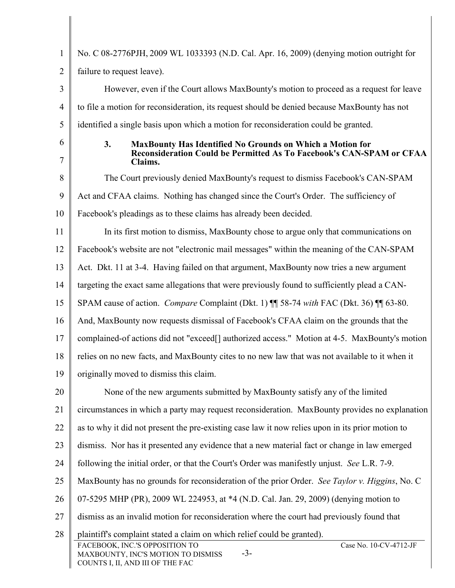| $\mathbf{1}$   | No. C 08-2776PJH, 2009 WL 1033393 (N.D. Cal. Apr. 16, 2009) (denying motion outright for                                                                                                                               |
|----------------|------------------------------------------------------------------------------------------------------------------------------------------------------------------------------------------------------------------------|
| $\overline{2}$ | failure to request leave).                                                                                                                                                                                             |
| 3              | However, even if the Court allows MaxBounty's motion to proceed as a request for leave                                                                                                                                 |
| $\overline{4}$ | to file a motion for reconsideration, its request should be denied because MaxBounty has not                                                                                                                           |
| 5              | identified a single basis upon which a motion for reconsideration could be granted.                                                                                                                                    |
| 6<br>7         | 3.<br><b>MaxBounty Has Identified No Grounds on Which a Motion for</b><br>Reconsideration Could be Permitted As To Facebook's CAN-SPAM or CFAA<br>Claims.                                                              |
| 8              | The Court previously denied MaxBounty's request to dismiss Facebook's CAN-SPAM                                                                                                                                         |
| 9              | Act and CFAA claims. Nothing has changed since the Court's Order. The sufficiency of                                                                                                                                   |
| 10             | Facebook's pleadings as to these claims has already been decided.                                                                                                                                                      |
| 11             | In its first motion to dismiss, MaxBounty chose to argue only that communications on                                                                                                                                   |
| 12             | Facebook's website are not "electronic mail messages" within the meaning of the CAN-SPAM                                                                                                                               |
| 13             | Act. Dkt. 11 at 3-4. Having failed on that argument, MaxBounty now tries a new argument                                                                                                                                |
| 14             | targeting the exact same allegations that were previously found to sufficiently plead a CAN-                                                                                                                           |
| 15             | SPAM cause of action. <i>Compare</i> Complaint (Dkt. 1) <b>[1]</b> 58-74 with FAC (Dkt. 36) <b>[1]</b> 63-80.                                                                                                          |
| 16             | And, MaxBounty now requests dismissal of Facebook's CFAA claim on the grounds that the                                                                                                                                 |
| 17             | complained-of actions did not "exceed[] authorized access." Motion at 4-5. MaxBounty's motion                                                                                                                          |
| 18             | relies on no new facts, and MaxBounty cites to no new law that was not available to it when it                                                                                                                         |
| 19             | originally moved to dismiss this claim.                                                                                                                                                                                |
| 20             | None of the new arguments submitted by MaxBounty satisfy any of the limited                                                                                                                                            |
| 21             | circumstances in which a party may request reconsideration. MaxBounty provides no explanation                                                                                                                          |
| 22             | as to why it did not present the pre-existing case law it now relies upon in its prior motion to                                                                                                                       |
| 23             | dismiss. Nor has it presented any evidence that a new material fact or change in law emerged                                                                                                                           |
| 24             | following the initial order, or that the Court's Order was manifestly unjust. See L.R. 7-9.                                                                                                                            |
| 25             | MaxBounty has no grounds for reconsideration of the prior Order. See Taylor v. Higgins, No. C                                                                                                                          |
| 26             | 07-5295 MHP (PR), 2009 WL 224953, at *4 (N.D. Cal. Jan. 29, 2009) (denying motion to                                                                                                                                   |
| 27             | dismiss as an invalid motion for reconsideration where the court had previously found that                                                                                                                             |
| 28             | plaintiff's complaint stated a claim on which relief could be granted).<br>Case No. 10-CV-4712-JF<br>FACEBOOK, INC.'S OPPOSITION TO<br>$-3-$<br>MAXBOUNTY, INC'S MOTION TO DISMISS<br>COUNTS I, II, AND III OF THE FAC |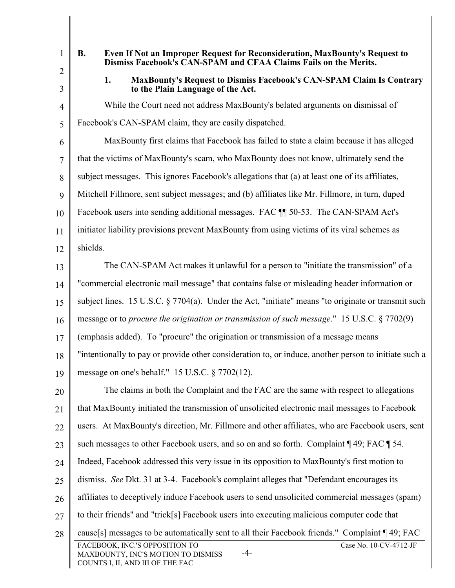- 1
- Dismiss Facebook's CAN-SPAM and CFAA Claims Fails on the Merits. B. Even If Not an Improper Request for Reconsideration, MaxBounty's Request to
- 2 3

4

5

1. MaxBounty's Request to Dismiss Facebook's CAN-SPAM Claim Is Contrary to the Plain Language of the Act.

While the Court need not address MaxBounty's belated arguments on dismissal of Facebook's CAN-SPAM claim, they are easily dispatched.

6 7 8 9 10 11 12 MaxBounty first claims that Facebook has failed to state a claim because it has alleged that the victims of MaxBounty's scam, who MaxBounty does not know, ultimately send the subject messages. This ignores Facebook's allegations that (a) at least one of its affiliates, Mitchell Fillmore, sent subject messages; and (b) affiliates like Mr. Fillmore, in turn, duped Facebook users into sending additional messages. FAC  $\P$  50-53. The CAN-SPAM Act's initiator liability provisions prevent MaxBounty from using victims of its viral schemes as shields.

13 14 15 The CAN-SPAM Act makes it unlawful for a person to "initiate the transmission" of a "commercial electronic mail message" that contains false or misleading header information or subject lines. 15 U.S.C. § 7704(a). Under the Act, "initiate" means "to originate or transmit such

16 message or to *procure the origination or transmission of such message*." 15 U.S.C. § 7702(9)

17 (emphasis added). To "procure" the origination or transmission of a message means

18 19 "intentionally to pay or provide other consideration to, or induce, another person to initiate such a message on one's behalf." 15 U.S.C. § 7702(12).

20 21 22 23 24 25 26 27 28 FACEBOOK, INC.'S OPPOSITION TO -4- Case No. 10-CV-4712-JF The claims in both the Complaint and the FAC are the same with respect to allegations that MaxBounty initiated the transmission of unsolicited electronic mail messages to Facebook users. At MaxBounty's direction, Mr. Fillmore and other affiliates, who are Facebook users, sent such messages to other Facebook users, and so on and so forth. Complaint  $\P$  49; FAC  $\P$  54. Indeed, Facebook addressed this very issue in its opposition to MaxBounty's first motion to dismiss. See Dkt. 31 at 3-4. Facebook's complaint alleges that "Defendant encourages its affiliates to deceptively induce Facebook users to send unsolicited commercial messages (spam) to their friends" and "trick[s] Facebook users into executing malicious computer code that cause[s] messages to be automatically sent to all their Facebook friends." Complaint ¶ 49; FAC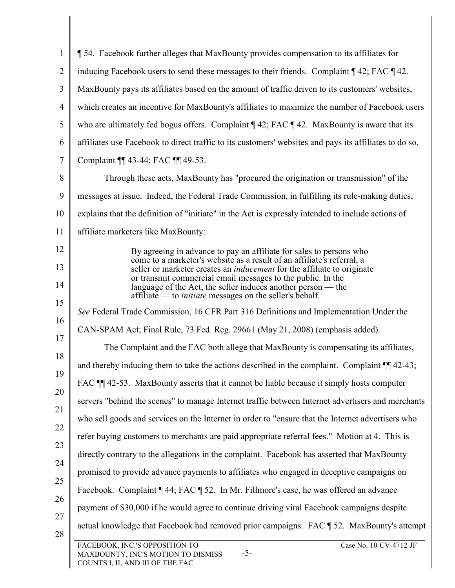| $\mathbf{1}$   | 154. Facebook further alleges that MaxBounty provides compensation to its affiliates for                                                                 |
|----------------|----------------------------------------------------------------------------------------------------------------------------------------------------------|
| $\overline{2}$ | inducing Facebook users to send these messages to their friends. Complaint 142; FAC 142.                                                                 |
| 3              | MaxBounty pays its affiliates based on the amount of traffic driven to its customers' websites,                                                          |
| 4              | which creates an incentive for MaxBounty's affiliates to maximize the number of Facebook users                                                           |
| 5              | who are ultimately fed bogus offers. Complaint $\P$ 42; FAC $\P$ 42. MaxBounty is aware that its                                                         |
| 6              | affiliates use Facebook to direct traffic to its customers' websites and pays its affiliates to do so.                                                   |
| 7              | Complaint ¶ 43-44; FAC ¶ 49-53.                                                                                                                          |
| 8              | Through these acts, MaxBounty has "procured the origination or transmission" of the                                                                      |
| 9              | messages at issue. Indeed, the Federal Trade Commission, in fulfilling its rule-making duties,                                                           |
| 10             | explains that the definition of "initiate" in the Act is expressly intended to include actions of                                                        |
| 11             | affiliate marketers like MaxBounty:                                                                                                                      |
| 12             | By agreeing in advance to pay an affiliate for sales to persons who                                                                                      |
| 13             | come to a marketer's website as a result of an affiliate's referral, a<br>seller or marketer creates an <i>inducement</i> for the affiliate to originate |
| 14             | or transmit commercial email messages to the public. In the<br>language of the Act, the seller induces another person — the                              |
| 15             | affiliate — to <i>initiate</i> messages on the seller's behalf.                                                                                          |
| 16             | See Federal Trade Commission, 16 CFR Part 316 Definitions and Implementation Under the                                                                   |
| 17             | CAN-SPAM Act; Final Rule, 73 Fed. Reg. 29661 (May 21, 2008) (emphasis added).                                                                            |
| 18             | The Complaint and the FAC both allege that MaxBounty is compensating its affiliates,                                                                     |
| 19             | and thereby inducing them to take the actions described in the complaint. Complaint $\P$ 42-43;                                                          |
| 20             | FAC ¶ 42-53. MaxBounty asserts that it cannot be liable because it simply hosts computer                                                                 |
| 21             | servers "behind the scenes" to manage Internet traffic between Internet advertisers and merchants                                                        |
| 22             | who sell goods and services on the Internet in order to "ensure that the Internet advertisers who                                                        |
|                | refer buying customers to merchants are paid appropriate referral fees." Motion at 4. This is                                                            |
| 23<br>24       | directly contrary to the allegations in the complaint. Facebook has asserted that MaxBounty                                                              |
| 25             | promised to provide advance payments to affiliates who engaged in deceptive campaigns on                                                                 |
| 26             | Facebook. Complaint ¶ 44; FAC ¶ 52. In Mr. Fillmore's case, he was offered an advance                                                                    |
|                | payment of \$30,000 if he would agree to continue driving viral Facebook campaigns despite                                                               |
| 27<br>28       | actual knowledge that Facebook had removed prior campaigns. FAC ¶ 52. MaxBounty's attempt                                                                |
|                | FACEBOOK, INC.'S OPPOSITION TO<br>Case No. 10-CV-4712-JF<br>$-5-$<br>MAXBOUNTY, INC'S MOTION TO DISMISS<br>COUNTS I, II, AND III OF THE FAC              |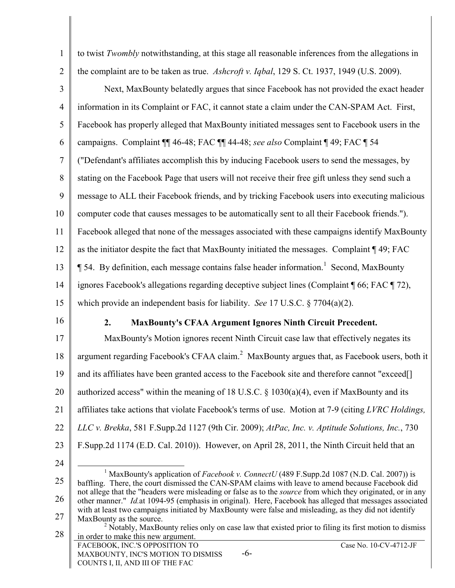- 1 2 3 4 5 6 7 8 9 10 11 12 13 14 15 to twist Twombly notwithstanding, at this stage all reasonable inferences from the allegations in the complaint are to be taken as true. Ashcroft v. Iqbal, 129 S. Ct. 1937, 1949 (U.S. 2009). Next, MaxBounty belatedly argues that since Facebook has not provided the exact header information in its Complaint or FAC, it cannot state a claim under the CAN-SPAM Act. First, Facebook has properly alleged that MaxBounty initiated messages sent to Facebook users in the campaigns. Complaint ¶¶ 46-48; FAC ¶¶ 44-48; see also Complaint ¶ 49; FAC ¶ 54 ("Defendant's affiliates accomplish this by inducing Facebook users to send the messages, by stating on the Facebook Page that users will not receive their free gift unless they send such a message to ALL their Facebook friends, and by tricking Facebook users into executing malicious computer code that causes messages to be automatically sent to all their Facebook friends."). Facebook alleged that none of the messages associated with these campaigns identify MaxBounty as the initiator despite the fact that MaxBounty initiated the messages. Complaint ¶ 49; FAC  $\P$  54. By definition, each message contains false header information.<sup>1</sup> Second, MaxBounty ignores Facebook's allegations regarding deceptive subject lines (Complaint ¶ 66; FAC ¶ 72), which provide an independent basis for liability. *See* 17 U.S.C. § 7704(a)(2). 2. MaxBounty's CFAA Argument Ignores Ninth Circuit Precedent.
- 16

17 18 19 20 21 22 23 MaxBounty's Motion ignores recent Ninth Circuit case law that effectively negates its argument regarding Facebook's CFAA claim.<sup>2</sup> MaxBounty argues that, as Facebook users, both it and its affiliates have been granted access to the Facebook site and therefore cannot "exceed[] authorized access" within the meaning of 18 U.S.C. § 1030(a)(4), even if MaxBounty and its affiliates take actions that violate Facebook's terms of use. Motion at 7-9 (citing LVRC Holdings, LLC v. Brekka, 581 F.Supp.2d 1127 (9th Cir. 2009); AtPac, Inc. v. Aptitude Solutions, Inc., 730 F.Supp.2d 1174 (E.D. Cal. 2010)). However, on April 28, 2011, the Ninth Circuit held that an

24

<sup>25</sup> 26 27  $\overline{a}$ <sup>1</sup> MaxBounty's application of *Facebook v. ConnectU* (489 F.Supp.2d 1087 (N.D. Cal. 2007)) is baffling. There, the court dismissed the CAN-SPAM claims with leave to amend because Facebook did not allege that the "headers were misleading or false as to the *source* from which they originated, or in any other manner." Id.at 1094-95 (emphasis in original). Here, Facebook has alleged that messages associated with at least two campaigns initiated by MaxBounty were false and misleading, as they did not identify MaxBounty as the source.

<sup>28</sup>  FACEBOOK, INC.'S OPPOSITION TO MAXBOUNTY, INC'S MOTION TO DISMISS COUNTS I, II, AND III OF THE FAC -6- Case No. 10-CV-4712-JF  $2$  Notably, MaxBounty relies only on case law that existed prior to filing its first motion to dismiss in order to make this new argument.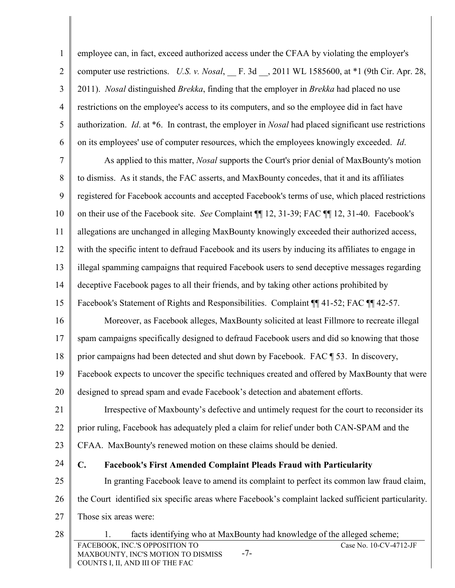1 2 3 4 5 6  $\overline{a}$ employee can, in fact, exceed authorized access under the CFAA by violating the employer's computer use restrictions. U.S. v. Nosal,  $\Gamma$ . 3d  $\Gamma$ , 2011 WL 1585600, at \*1 (9th Cir. Apr. 28, 2011). Nosal distinguished Brekka, finding that the employer in Brekka had placed no use restrictions on the employee's access to its computers, and so the employee did in fact have authorization. Id. at \*6. In contrast, the employer in Nosal had placed significant use restrictions on its employees' use of computer resources, which the employees knowingly exceeded. Id.

7 8 9 10 11 12 13 14 15 As applied to this matter, Nosal supports the Court's prior denial of MaxBounty's motion to dismiss. As it stands, the FAC asserts, and MaxBounty concedes, that it and its affiliates registered for Facebook accounts and accepted Facebook's terms of use, which placed restrictions on their use of the Facebook site. See Complaint ¶¶ 12, 31-39; FAC ¶¶ 12, 31-40. Facebook's allegations are unchanged in alleging MaxBounty knowingly exceeded their authorized access, with the specific intent to defraud Facebook and its users by inducing its affiliates to engage in illegal spamming campaigns that required Facebook users to send deceptive messages regarding deceptive Facebook pages to all their friends, and by taking other actions prohibited by Facebook's Statement of Rights and Responsibilities. Complaint  $\P$  41-52; FAC  $\P$  42-57.

16 17 18 Moreover, as Facebook alleges, MaxBounty solicited at least Fillmore to recreate illegal spam campaigns specifically designed to defraud Facebook users and did so knowing that those prior campaigns had been detected and shut down by Facebook. FAC ¶ 53. In discovery,

19 20 Facebook expects to uncover the specific techniques created and offered by MaxBounty that were designed to spread spam and evade Facebook's detection and abatement efforts.

21 22 23 Irrespective of Maxbounty's defective and untimely request for the court to reconsider its prior ruling, Facebook has adequately pled a claim for relief under both CAN-SPAM and the CFAA. MaxBounty's renewed motion on these claims should be denied.

- 24 25 26 27 C. Facebook's First Amended Complaint Pleads Fraud with Particularity In granting Facebook leave to amend its complaint to perfect its common law fraud claim, the Court identified six specific areas where Facebook's complaint lacked sufficient particularity. Those six areas were:
- 28 FACEBOOK, INC.'S OPPOSITION TO MAXBOUNTY, INC'S MOTION TO DISMISS COUNTS I, II, AND III OF THE FAC -7- Case No. 10-CV-4712-JF 1. facts identifying who at MaxBounty had knowledge of the alleged scheme;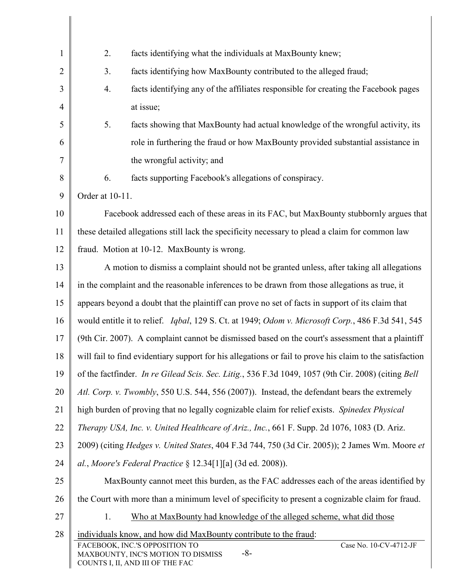| $\mathbf{1}$   | 2.                                          | facts identifying what the individuals at MaxBounty knew;                                                                    |
|----------------|---------------------------------------------|------------------------------------------------------------------------------------------------------------------------------|
| $\overline{2}$ | 3.                                          | facts identifying how MaxBounty contributed to the alleged fraud;                                                            |
| 3              | 4.                                          | facts identifying any of the affiliates responsible for creating the Facebook pages                                          |
| $\overline{4}$ |                                             | at issue;                                                                                                                    |
| 5              | 5.                                          | facts showing that MaxBounty had actual knowledge of the wrongful activity, its                                              |
| 6              |                                             | role in furthering the fraud or how MaxBounty provided substantial assistance in                                             |
| $\overline{7}$ |                                             | the wrongful activity; and                                                                                                   |
| 8              | 6.                                          | facts supporting Facebook's allegations of conspiracy.                                                                       |
| 9              | Order at 10-11.                             |                                                                                                                              |
| 10             |                                             | Facebook addressed each of these areas in its FAC, but MaxBounty stubbornly argues that                                      |
| 11             |                                             | these detailed allegations still lack the specificity necessary to plead a claim for common law                              |
| 12             | fraud. Motion at 10-12. MaxBounty is wrong. |                                                                                                                              |
| 13             |                                             | A motion to dismiss a complaint should not be granted unless, after taking all allegations                                   |
| 14             |                                             | in the complaint and the reasonable inferences to be drawn from those allegations as true, it                                |
| 15             |                                             | appears beyond a doubt that the plaintiff can prove no set of facts in support of its claim that                             |
| 16             |                                             | would entitle it to relief. Iqbal, 129 S. Ct. at 1949; Odom v. Microsoft Corp., 486 F.3d 541, 545                            |
| 17             |                                             | (9th Cir. 2007). A complaint cannot be dismissed based on the court's assessment that a plaintiff                            |
| 18             |                                             | will fail to find evidentiary support for his allegations or fail to prove his claim to the satisfaction                     |
| 19             |                                             | of the factfinder. In re Gilead Scis. Sec. Litig., 536 F.3d 1049, 1057 (9th Cir. 2008) (citing Bell                          |
| 20             |                                             | Atl. Corp. v. Twombly, 550 U.S. 544, 556 (2007)). Instead, the defendant bears the extremely                                 |
| 21             |                                             | high burden of proving that no legally cognizable claim for relief exists. Spinedex Physical                                 |
| 22             |                                             | Therapy USA, Inc. v. United Healthcare of Ariz., Inc., 661 F. Supp. 2d 1076, 1083 (D. Ariz.                                  |
| 23             |                                             | 2009) (citing <i>Hedges v. United States, 404 F.3d 744, 750 (3d Cir. 2005)); 2 James Wm. Moore et</i>                        |
| 24             |                                             | al., Moore's Federal Practice $\S 12.34[1][a]$ (3d ed. 2008)).                                                               |
| 25             |                                             | MaxBounty cannot meet this burden, as the FAC addresses each of the areas identified by                                      |
| 26             |                                             | the Court with more than a minimum level of specificity to present a cognizable claim for fraud.                             |
| 27             | 1.                                          | Who at MaxBounty had knowledge of the alleged scheme, what did those                                                         |
| 28             |                                             | individuals know, and how did MaxBounty contribute to the fraud:<br>Case No. 10-CV-4712-JF<br>FACEBOOK, INC.'S OPPOSITION TO |
|                |                                             | $-8-$<br>MAXBOUNTY, INC'S MOTION TO DISMISS<br>COUNTS I, II, AND III OF THE FAC                                              |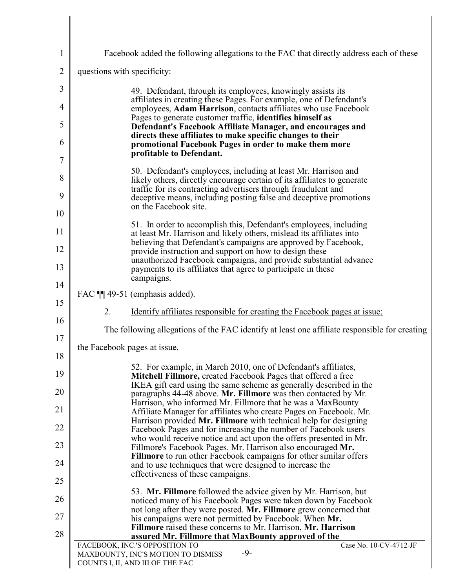| $\mathbf{1}$   | Facebook added the following allegations to the FAC that directly address each of these                                                                                                                     |
|----------------|-------------------------------------------------------------------------------------------------------------------------------------------------------------------------------------------------------------|
| $\overline{2}$ | questions with specificity:                                                                                                                                                                                 |
| 3              | 49. Defendant, through its employees, knowingly assists its                                                                                                                                                 |
| 4              | affiliates in creating these Pages. For example, one of Defendant's<br>employees, Adam Harrison, contacts affiliates who use Facebook                                                                       |
| 5              | Pages to generate customer traffic, identifies himself as<br>Defendant's Facebook Affiliate Manager, and encourages and                                                                                     |
| 6              | directs these affiliates to make specific changes to their<br>promotional Facebook Pages in order to make them more                                                                                         |
| 7              | profitable to Defendant.                                                                                                                                                                                    |
| 8              | 50. Defendant's employees, including at least Mr. Harrison and<br>likely others, directly encourage certain of its affiliates to generate<br>traffic for its contracting advertisers through fraudulent and |
| 9              | deceptive means, including posting false and deceptive promotions<br>on the Facebook site.                                                                                                                  |
| 10             |                                                                                                                                                                                                             |
| 11             | 51. In order to accomplish this, Defendant's employees, including<br>at least Mr. Harrison and likely others, mislead its affiliates into                                                                   |
| 12             | believing that Defendant's campaigns are approved by Facebook,<br>provide instruction and support on how to design these                                                                                    |
| 13             | unauthorized Facebook campaigns, and provide substantial advance<br>payments to its affiliates that agree to participate in these<br>campaigns.                                                             |
| 14             | FAC ¶ 49-51 (emphasis added).                                                                                                                                                                               |
| 15             | 2.<br><u>Identify</u> affiliates responsible for creating the Facebook pages at issue:                                                                                                                      |
| 16             | The following allegations of the FAC identify at least one affiliate responsible for creating                                                                                                               |
| 17<br>18       | the Facebook pages at issue.                                                                                                                                                                                |
| 19             | 52. For example, in March 2010, one of Defendant's affiliates,                                                                                                                                              |
| 20             | <b>Mitchell Fillmore, created Facebook Pages that offered a free</b><br>IKEA gift card using the same scheme as generally described in the                                                                  |
| 21             | paragraphs 44-48 above. Mr. Fillmore was then contacted by Mr.<br>Harrison, who informed Mr. Fillmore that he was a MaxBounty                                                                               |
| 22             | Affiliate Manager for affiliates who create Pages on Facebook. Mr.<br>Harrison provided Mr. Fillmore with technical help for designing                                                                      |
| 23             | Facebook Pages and for increasing the number of Facebook users<br>who would receive notice and act upon the offers presented in Mr.                                                                         |
| 24             | Fillmore's Facebook Pages. Mr. Harrison also encouraged Mr.<br><b>Fillmore</b> to run other Facebook campaigns for other similar offers                                                                     |
| 25             | and to use techniques that were designed to increase the<br>effectiveness of these campaigns.                                                                                                               |
| 26             | 53. Mr. Fillmore followed the advice given by Mr. Harrison, but                                                                                                                                             |
| 27             | noticed many of his Facebook Pages were taken down by Facebook<br>not long after they were posted. Mr. Fillmore grew concerned that                                                                         |
| 28             | his campaigns were not permitted by Facebook. When Mr.<br><b>Fillmore</b> raised these concerns to Mr. Harrison, Mr. Harrison                                                                               |
|                | assured Mr. Fillmore that MaxBounty approved of the<br>Case No. 10-CV-4712-JF<br>FACEBOOK, INC.'S OPPOSITION TO                                                                                             |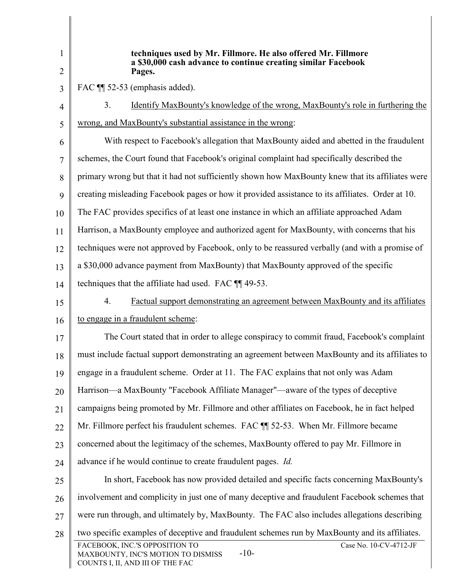| 1<br>2         | techniques used by Mr. Fillmore. He also offered Mr. Fillmore<br>a \$30,000 cash advance to continue creating similar Facebook<br>Pages.     |
|----------------|----------------------------------------------------------------------------------------------------------------------------------------------|
| 3              | FAC ¶ 52-53 (emphasis added).                                                                                                                |
| $\overline{4}$ | <u>Identify MaxBounty's knowledge of the wrong, MaxBounty's role in furthering the</u><br>3.                                                 |
| 5              | wrong, and MaxBounty's substantial assistance in the wrong:                                                                                  |
| 6              | With respect to Facebook's allegation that MaxBounty aided and abetted in the fraudulent                                                     |
| 7              | schemes, the Court found that Facebook's original complaint had specifically described the                                                   |
| 8              | primary wrong but that it had not sufficiently shown how MaxBounty knew that its affiliates were                                             |
| 9              | creating misleading Facebook pages or how it provided assistance to its affiliates. Order at 10.                                             |
| 10             | The FAC provides specifics of at least one instance in which an affiliate approached Adam                                                    |
| 11             | Harrison, a MaxBounty employee and authorized agent for MaxBounty, with concerns that his                                                    |
| 12             | techniques were not approved by Facebook, only to be reassured verbally (and with a promise of                                               |
| 13             | a \$30,000 advance payment from MaxBounty) that MaxBounty approved of the specific                                                           |
| 14             | techniques that the affiliate had used. FAC ¶ 49-53.                                                                                         |
| 15             | 4.<br>Factual support demonstrating an agreement between MaxBounty and its affiliates                                                        |
| 16             | to engage in a fraudulent scheme:                                                                                                            |
| 17             | The Court stated that in order to allege conspiracy to commit fraud, Facebook's complaint                                                    |
| 18             | must include factual support demonstrating an agreement between MaxBounty and its affiliates to                                              |
| 19             | engage in a fraudulent scheme. Order at 11. The FAC explains that not only was Adam                                                          |
| 20             | Harrison—a MaxBounty "Facebook Affiliate Manager"—aware of the types of deceptive                                                            |
| 21             | campaigns being promoted by Mr. Fillmore and other affiliates on Facebook, he in fact helped                                                 |
| 22             | Mr. Fillmore perfect his fraudulent schemes. FAC ¶ 52-53. When Mr. Fillmore became                                                           |
| 23             | concerned about the legitimacy of the schemes, MaxBounty offered to pay Mr. Fillmore in                                                      |
| 24             | advance if he would continue to create fraudulent pages. <i>Id.</i>                                                                          |
| 25             | In short, Facebook has now provided detailed and specific facts concerning MaxBounty's                                                       |
| 26             | involvement and complicity in just one of many deceptive and fraudulent Facebook schemes that                                                |
| 27             | were run through, and ultimately by, MaxBounty. The FAC also includes allegations describing                                                 |
| 28             | two specific examples of deceptive and fraudulent schemes run by MaxBounty and its affiliates.                                               |
|                | FACEBOOK, INC.'S OPPOSITION TO<br>Case No. 10-CV-4712-JF<br>$-10-$<br>MAXBOUNTY, INC'S MOTION TO DISMISS<br>COUNTS I, II, AND III OF THE FAC |